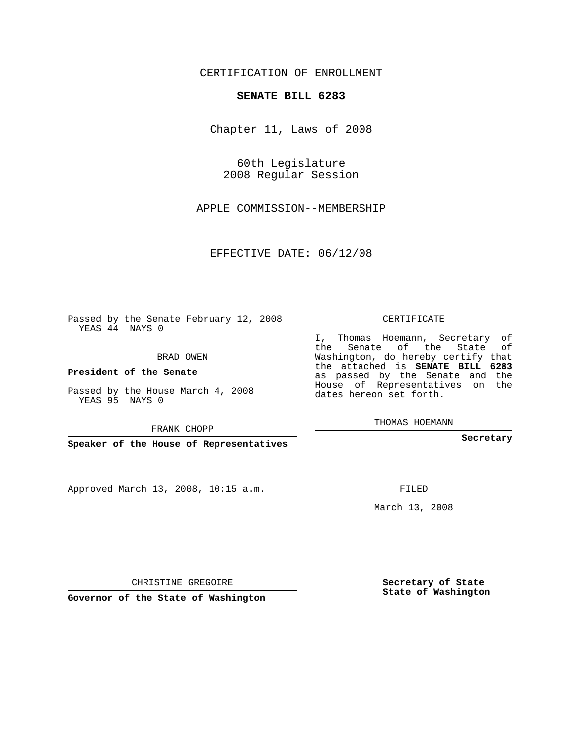CERTIFICATION OF ENROLLMENT

## **SENATE BILL 6283**

Chapter 11, Laws of 2008

60th Legislature 2008 Regular Session

APPLE COMMISSION--MEMBERSHIP

EFFECTIVE DATE: 06/12/08

Passed by the Senate February 12, 2008 YEAS 44 NAYS 0

BRAD OWEN

**President of the Senate**

Passed by the House March 4, 2008 YEAS 95 NAYS 0

FRANK CHOPP

**Speaker of the House of Representatives**

Approved March 13, 2008, 10:15 a.m.

CERTIFICATE

I, Thomas Hoemann, Secretary of the Senate of the State of Washington, do hereby certify that the attached is **SENATE BILL 6283** as passed by the Senate and the House of Representatives on the dates hereon set forth.

THOMAS HOEMANN

**Secretary**

FILED

March 13, 2008

**Secretary of State State of Washington**

CHRISTINE GREGOIRE

**Governor of the State of Washington**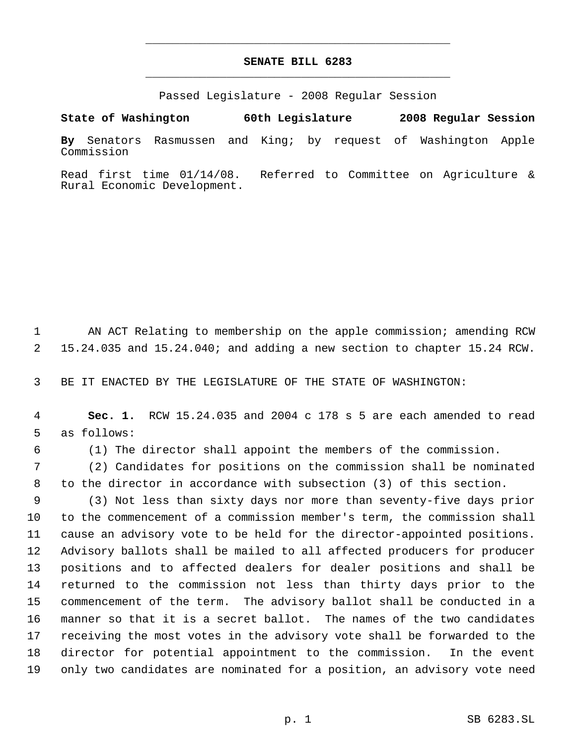## **SENATE BILL 6283** \_\_\_\_\_\_\_\_\_\_\_\_\_\_\_\_\_\_\_\_\_\_\_\_\_\_\_\_\_\_\_\_\_\_\_\_\_\_\_\_\_\_\_\_\_

\_\_\_\_\_\_\_\_\_\_\_\_\_\_\_\_\_\_\_\_\_\_\_\_\_\_\_\_\_\_\_\_\_\_\_\_\_\_\_\_\_\_\_\_\_

Passed Legislature - 2008 Regular Session

**State of Washington 60th Legislature 2008 Regular Session By** Senators Rasmussen and King; by request of Washington Apple Commission

Read first time 01/14/08. Referred to Committee on Agriculture & Rural Economic Development.

 AN ACT Relating to membership on the apple commission; amending RCW 15.24.035 and 15.24.040; and adding a new section to chapter 15.24 RCW.

BE IT ENACTED BY THE LEGISLATURE OF THE STATE OF WASHINGTON:

- **Sec. 1.** RCW 15.24.035 and 2004 c 178 s 5 are each amended to read as follows:
- 
- (1) The director shall appoint the members of the commission.

 (2) Candidates for positions on the commission shall be nominated to the director in accordance with subsection (3) of this section.

 (3) Not less than sixty days nor more than seventy-five days prior to the commencement of a commission member's term, the commission shall cause an advisory vote to be held for the director-appointed positions. Advisory ballots shall be mailed to all affected producers for producer positions and to affected dealers for dealer positions and shall be returned to the commission not less than thirty days prior to the commencement of the term. The advisory ballot shall be conducted in a manner so that it is a secret ballot. The names of the two candidates receiving the most votes in the advisory vote shall be forwarded to the director for potential appointment to the commission. In the event only two candidates are nominated for a position, an advisory vote need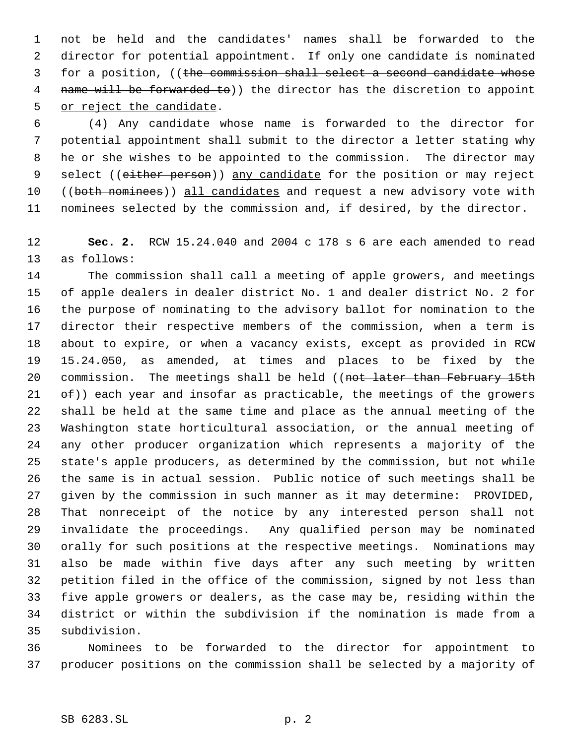not be held and the candidates' names shall be forwarded to the director for potential appointment. If only one candidate is nominated 3 for a position, ((the commission shall select a second candidate whose 4 name will be forwarded to)) the director has the discretion to appoint or reject the candidate.

 (4) Any candidate whose name is forwarded to the director for potential appointment shall submit to the director a letter stating why he or she wishes to be appointed to the commission. The director may 9 select ((either person)) any candidate for the position or may reject 10 ((both nominees)) all candidates and request a new advisory vote with nominees selected by the commission and, if desired, by the director.

 **Sec. 2.** RCW 15.24.040 and 2004 c 178 s 6 are each amended to read as follows:

 The commission shall call a meeting of apple growers, and meetings of apple dealers in dealer district No. 1 and dealer district No. 2 for the purpose of nominating to the advisory ballot for nomination to the director their respective members of the commission, when a term is about to expire, or when a vacancy exists, except as provided in RCW 15.24.050, as amended, at times and places to be fixed by the 20 commission. The meetings shall be held ((not later than February 15th  $ef)$  each year and insofar as practicable, the meetings of the growers shall be held at the same time and place as the annual meeting of the Washington state horticultural association, or the annual meeting of any other producer organization which represents a majority of the state's apple producers, as determined by the commission, but not while the same is in actual session. Public notice of such meetings shall be given by the commission in such manner as it may determine: PROVIDED, That nonreceipt of the notice by any interested person shall not invalidate the proceedings. Any qualified person may be nominated orally for such positions at the respective meetings. Nominations may also be made within five days after any such meeting by written petition filed in the office of the commission, signed by not less than five apple growers or dealers, as the case may be, residing within the district or within the subdivision if the nomination is made from a subdivision.

 Nominees to be forwarded to the director for appointment to producer positions on the commission shall be selected by a majority of